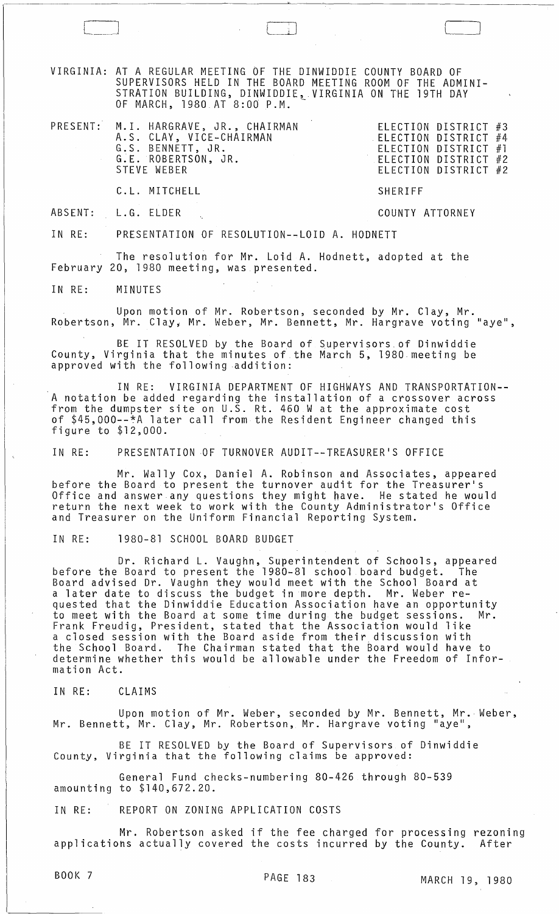VIRGINIA: AT A REGULAR MEETING Of THE DINWIDDIE COUNTY BOARD OF SUPERVISORS HELD IN THE BOARD MEETING ROOM OF THE ADMINI-STRATION BUILDING, DINWIDDIE, VIRGINIA ON THE 19TH DAY OF MARCH, 1980 AT 8:00 P.M.  $\overline{\phantom{a}}$ 

| PRESENT: M.I. HARGRAVE, JR., CHAIRMAN<br>A.S. CLAY, VICE-CHAIRMAN<br>G.S. BENNETT, JR.<br>G.E. ROBERTSON, JR.<br>STEVE WEBER | ELECTION DISTRICT #4 | ELECTION DISTRICT #3<br>ELECTION DISTRICT #1<br>ELECTION DISTRICT #2<br>ELECTION DISTRICT #2 |  |
|------------------------------------------------------------------------------------------------------------------------------|----------------------|----------------------------------------------------------------------------------------------|--|
|                                                                                                                              |                      |                                                                                              |  |

C. L. MITCHELL

COUNTY ATTORNEY

SHERIFF

 $\Box$  ) and  $\Box$   $\Box$  ) and  $\Box$   $\Box$ 

ABSENT: L.G. ELDER

IN RE: PRESENTATION OF RESOLUTION--LOID A. HODNETT

The resolution for Mr. Loid A. Hodnett, adopted at the February 20, 1980 meeting, was presented.

IN RE: MINUTES

Upon motion of Mr. Robertson, seconded by Mr. Clay, Mr. Robertson, Mr. Clay, Mr. Weber, Mr. Bennett, Mr. Hargrave voting "aye",

BE IT RESOLVED by the Board of Supervisors.of Dinwiddie County, Virginia that the minutes of the March 5, 1980 meeting be approved with the following addition:

IN RE: VIRGINIA DEPARTMENT OF HIGHWAYS AND TRANSPORTATION-- A notation be added regarding the installation of a crossover across from the dumpster site on U.S. Rt. 460 W at the approximate cost of \$45,000--~A later call from the Resident Engineer changed this figure to \$12,000.

IN RE: PRESENTATION OF TURNOVER AUDIT--TREASURER'S OFFICE

Mr. Wally Cox, Daniel A. Robinson and Associates, appeared before the Board to present the turnover audit for the Treasurer's Office and answer any questions they might have. He stated he would return the next week to work with the County Administrator's Office and Treasurer on the Uniform Financial Reporting System.

IN RE: 1980-81 SCHOOL BOARD BUDGET

Dr. Richard L. Vaughn, Superintendent of Schools, appeared before the Board to present the 1980-81 school board budget. The Board advised Dr. Vaughn they would meet with the School Board at a later date to discuss the budget in more depth. Mr. Weber requested that the Dinwiddie Education Association have an opportunity to meet with the Board at some time during the budget sessions. Mr. Frank Freudig, President, stated that the Association would like a closed session with the Board aside from their discussion with the School Board. The Chairman stated that the Board would have to determine whether this would be allowable under the Freedom of Information Act.

IN RE: CLAIMS

Upon motion of Mr. Weber, seconded by Mr. Bennett, Mr. Weber, Mr. Bennett, Mr. Clay, Mr. Robertson, Mr. Hargrave voting "aye",

BE IT RESOLVED by the Board of Supervisors of Dinwiddie County. Virginia that the following claims be approved:

General Fund checks-numbering 80-426 through 80-539 amounting to \$140,672.20.

IN RE: REPORT ON ZONING APPLICATION COSTS

Mr. Robertson asked if the fee charged for processing rezoning<br>ns actually covered the costs incurred by the County. After applications actually covered the costs incurred by the County.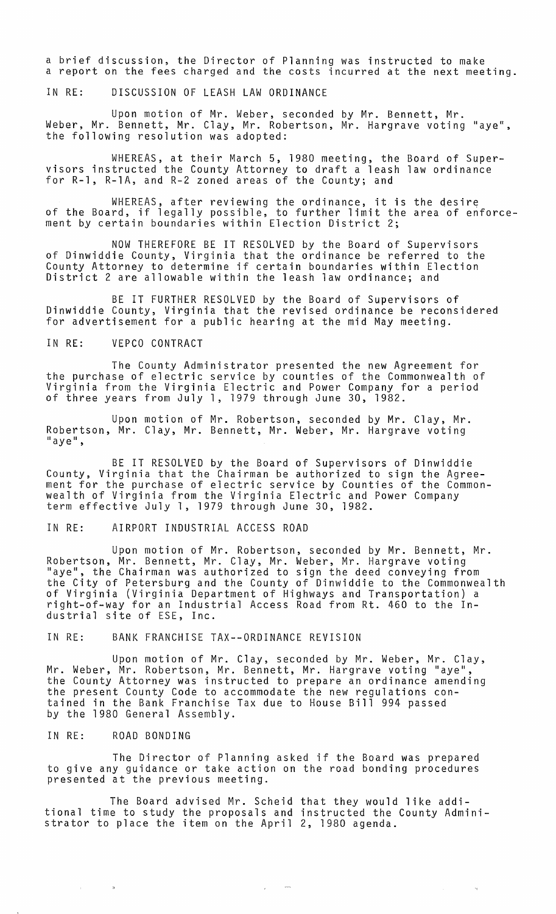a brief discussion, the Director of Planning was instructed to make a report on the fees charged and the costs incurred at the next meeting.

IN RE: DISCUSSION OF LEASH LAW ORDINANCE

Upon motion of Mr. Weber, seconded by Mr. Bennett, Mr. Weber, Mr. Bennett, Mr. Clay, Mr. Robertson, Mr. Hargrave voting "aye", the following resolution was adopted:

WHEREAS, at their March 5, 1980 meeting, the Board of Supervisors instructed the County Attorney to draft a leash law ordinance for R-l, R-1A, and R-2 zoned areas of the County; and

WHEREAS, after reviewing the ordinance, it is the desire of the Board, if legally possible, to further limit the area of enforcement by certain boundaries within Election District 2;

NOW THEREFORE BE IT RESOLVED by the Board of Supervisors of Dinwiddie County, Virginia that the ordinance be referred to the County Attorney to determine if certain boundaries within Election District 2 are allowable within the leash law ordinance; and

BE IT FURTHER RESOLVED by the Board of Supervisors of Dinwiddie County, Virginia that the revised ordinance be reconsidered for advertisement for a public hearing at the mid May meeting.

### IN RE: VEPCO CONTRACT

The County Administrator presented the new Agreement for the purchase of electric service by counties of the Commonwealth of Virginia from the Virginia Electric and Power Company for a period<br>of three years from July 1, 1979 through June 30, 1982.

Upon motion of Mr. Robertson, seconded by Mr. Clay, Mr. Robertson, Mr. Clay, Mr. Bennett, Mr. Weber, Mr. Hargrave voting "aye",

BE IT RESOLVED by the Board of Supervisors of Dinwiddie County, Virginia that the Chairman be authorized to sign the Agreement for the purchase of electric service by Counties of the Commonwealth of Virginia from the Virginia Electric and Power Company term effective July 1, 1979 through June 30, 1982.

#### IN RE: AIRPORT INDUSTRIAL ACCESS ROAD

Upon motion of Mr. Robertson, seconded by Mr. Bennett, Mr. Robertson, Mr. Bennett, Mr. Clay, Mr. Weber, Mr. Hargrave voting<br>"aye", the Chairman was authorized to sign the deed conveying from the City of Petersburg and the County of Dinwiddie to the Commonwealth of Virginia (Virginia Department of Highways and Transportation) a right-of-way for an Industrial Access Road from Rt. 460 to the Industrial site of ESE, Inc.

#### IN RE: BANK FRANCHISE TAX--ORDINANCE REVISION

Upon motion of Mr. Clay, seconded by Mr. Weber, Mr. Clay, Mr. Weber, Mr. Robertson, Mr. Bennett, Mr. Hargrave voting "aye", the County Attorney was instructed to prepare an ordinance amending the present County Code to accommodate the new regulations contained in the Bank Franchise Tax due to House Bill 994 passed by the 1980 General Assembly.

#### IN RE: ROAD BONDING

 $\sim$   $\alpha$ 

 $\sim$ 

The Director of Planning asked if the Board was prepared to give any guidance or take action on the road bonding procedures<br>presented at the previous meeting.

The Board advised Mr. Scheid that they would like additional time to study the proposals and instructed the County Administrator to place the item on the April 2, 1980 agenda.

 $\sim 10^{-11}$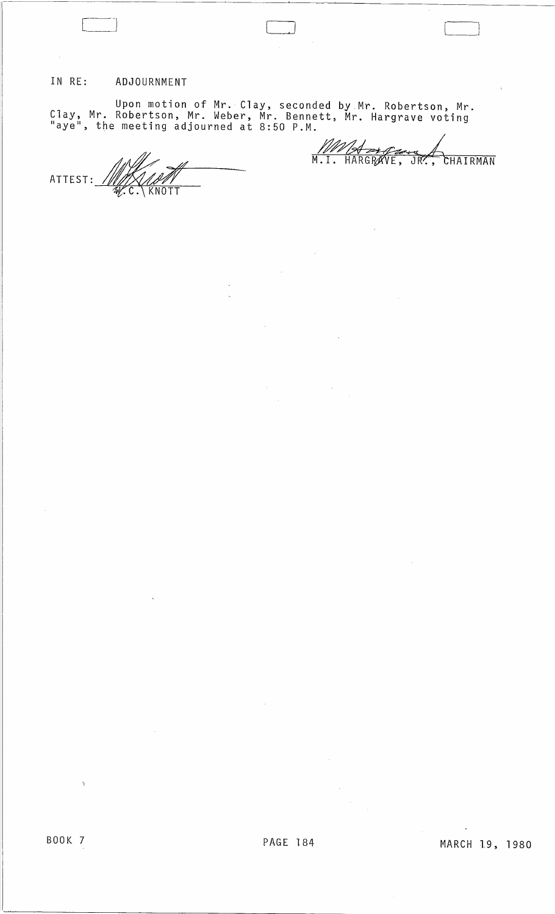## IN RE: ADJOURNMENT

 $\sim$ 

Upon motion of Mr. Clay, seconded by Mr. Robertson, Mr. Clay, Mr. Robertson, Mr. Weber, Mr. Bennett, Mr. Hargrave *voting*  "aye", the meeting adjourned at 8:50 P.M.

LJ <sup>l</sup>

ATTEST: //////X////////<br>E.\KNOTT

WWA HOURAN

'---\_1